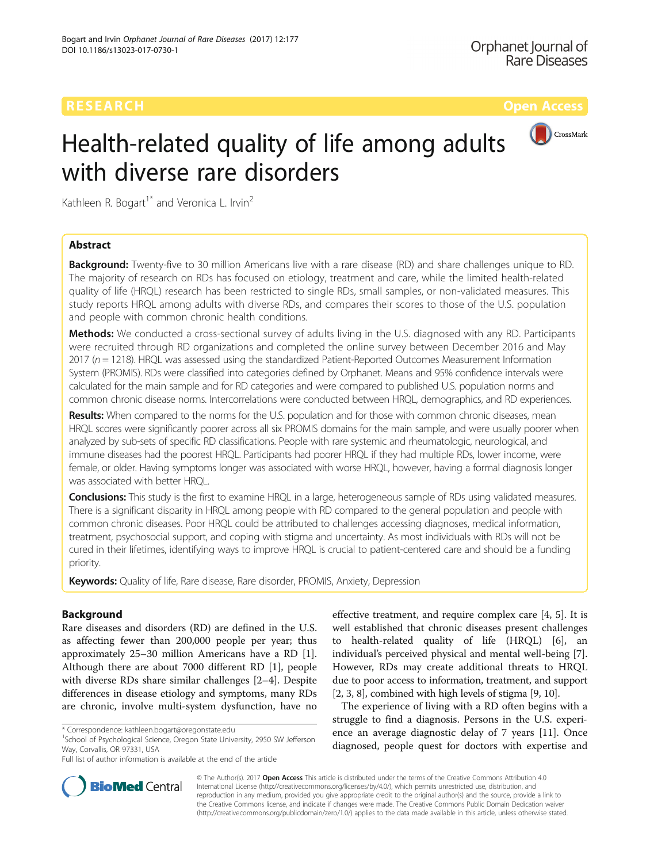

# Health-related quality of life among adults with diverse rare disorders

Kathleen R. Bogart<sup>1\*</sup> and Veronica L. Irvin<sup>2</sup>

# Abstract

**Background:** Twenty-five to 30 million Americans live with a rare disease (RD) and share challenges unique to RD. The majority of research on RDs has focused on etiology, treatment and care, while the limited health-related quality of life (HRQL) research has been restricted to single RDs, small samples, or non-validated measures. This study reports HRQL among adults with diverse RDs, and compares their scores to those of the U.S. population and people with common chronic health conditions.

Methods: We conducted a cross-sectional survey of adults living in the U.S. diagnosed with any RD. Participants were recruited through RD organizations and completed the online survey between December 2016 and May  $2017$  ( $n = 1218$ ). HRQL was assessed using the standardized Patient-Reported Outcomes Measurement Information System (PROMIS). RDs were classified into categories defined by Orphanet. Means and 95% confidence intervals were calculated for the main sample and for RD categories and were compared to published U.S. population norms and common chronic disease norms. Intercorrelations were conducted between HRQL, demographics, and RD experiences.

Results: When compared to the norms for the U.S. population and for those with common chronic diseases, mean HRQL scores were significantly poorer across all six PROMIS domains for the main sample, and were usually poorer when analyzed by sub-sets of specific RD classifications. People with rare systemic and rheumatologic, neurological, and immune diseases had the poorest HRQL. Participants had poorer HRQL if they had multiple RDs, lower income, were female, or older. Having symptoms longer was associated with worse HRQL, however, having a formal diagnosis longer was associated with better HRQL.

**Conclusions:** This study is the first to examine HRQL in a large, heterogeneous sample of RDs using validated measures. There is a significant disparity in HRQL among people with RD compared to the general population and people with common chronic diseases. Poor HRQL could be attributed to challenges accessing diagnoses, medical information, treatment, psychosocial support, and coping with stigma and uncertainty. As most individuals with RDs will not be cured in their lifetimes, identifying ways to improve HRQL is crucial to patient-centered care and should be a funding priority.

Keywords: Quality of life, Rare disease, Rare disorder, PROMIS, Anxiety, Depression

# Background

Rare diseases and disorders (RD) are defined in the U.S. as affecting fewer than 200,000 people per year; thus approximately 25–30 million Americans have a RD [\[1](#page-7-0)]. Although there are about 7000 different RD [[1](#page-7-0)], people with diverse RDs share similar challenges [\[2](#page-7-0)–[4](#page-7-0)]. Despite differences in disease etiology and symptoms, many RDs are chronic, involve multi-system dysfunction, have no

<sup>1</sup>School of Psychological Science, Oregon State University, 2950 SW Jefferson Way, Corvallis, OR 97331, USA

effective treatment, and require complex care [[4, 5](#page-7-0)]. It is well established that chronic diseases present challenges to health-related quality of life (HRQL) [\[6](#page-7-0)], an individual's perceived physical and mental well-being [\[7](#page-7-0)]. However, RDs may create additional threats to HRQL due to poor access to information, treatment, and support [[2, 3](#page-7-0), [8\]](#page-7-0), combined with high levels of stigma [\[9, 10](#page-7-0)].

The experience of living with a RD often begins with a struggle to find a diagnosis. Persons in the U.S. experience an average diagnostic delay of 7 years [\[11](#page-7-0)]. Once diagnosed, people quest for doctors with expertise and



© The Author(s). 2017 **Open Access** This article is distributed under the terms of the Creative Commons Attribution 4.0 International License [\(http://creativecommons.org/licenses/by/4.0/](http://creativecommons.org/licenses/by/4.0/)), which permits unrestricted use, distribution, and reproduction in any medium, provided you give appropriate credit to the original author(s) and the source, provide a link to the Creative Commons license, and indicate if changes were made. The Creative Commons Public Domain Dedication waiver [\(http://creativecommons.org/publicdomain/zero/1.0/](http://creativecommons.org/publicdomain/zero/1.0/)) applies to the data made available in this article, unless otherwise stated.

<sup>\*</sup> Correspondence: [kathleen.bogart@oregonstate.edu](mailto:kathleen.bogart@oregonstate.edu) <sup>1</sup>

Full list of author information is available at the end of the article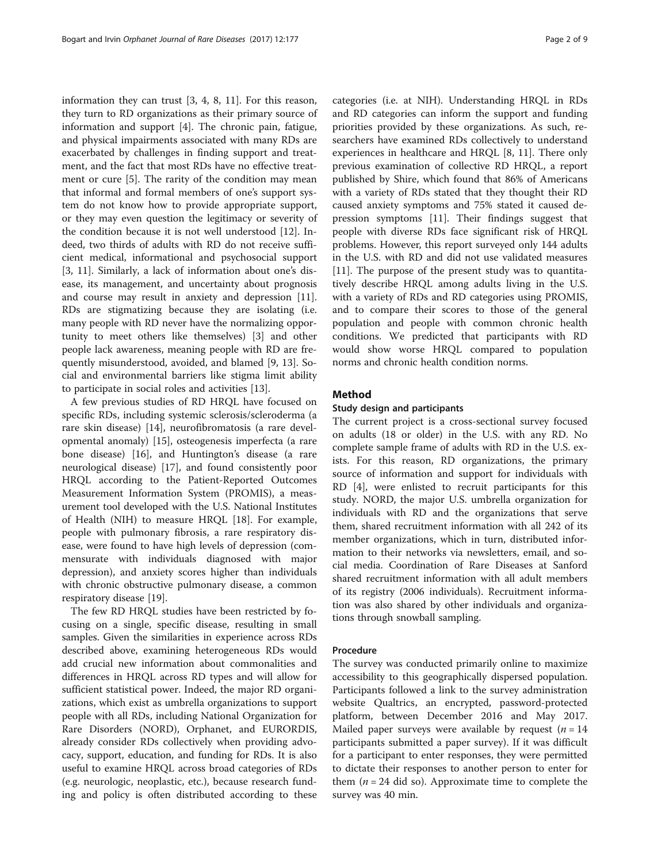information they can trust [[3, 4, 8](#page-7-0), [11](#page-7-0)]. For this reason, they turn to RD organizations as their primary source of information and support [\[4](#page-7-0)]. The chronic pain, fatigue, and physical impairments associated with many RDs are exacerbated by challenges in finding support and treatment, and the fact that most RDs have no effective treatment or cure [\[5](#page-7-0)]. The rarity of the condition may mean that informal and formal members of one's support system do not know how to provide appropriate support, or they may even question the legitimacy or severity of the condition because it is not well understood [[12\]](#page-7-0). Indeed, two thirds of adults with RD do not receive sufficient medical, informational and psychosocial support [[3, 11\]](#page-7-0). Similarly, a lack of information about one's disease, its management, and uncertainty about prognosis and course may result in anxiety and depression [\[11](#page-7-0)]. RDs are stigmatizing because they are isolating (i.e. many people with RD never have the normalizing opportunity to meet others like themselves) [\[3](#page-7-0)] and other people lack awareness, meaning people with RD are frequently misunderstood, avoided, and blamed [\[9, 13](#page-7-0)]. Social and environmental barriers like stigma limit ability to participate in social roles and activities [[13\]](#page-7-0).

A few previous studies of RD HRQL have focused on specific RDs, including systemic sclerosis/scleroderma (a rare skin disease) [[14](#page-7-0)], neurofibromatosis (a rare developmental anomaly) [\[15\]](#page-7-0), osteogenesis imperfecta (a rare bone disease) [\[16\]](#page-7-0), and Huntington's disease (a rare neurological disease) [[17\]](#page-7-0), and found consistently poor HRQL according to the Patient-Reported Outcomes Measurement Information System (PROMIS), a measurement tool developed with the U.S. National Institutes of Health (NIH) to measure HRQL [\[18](#page-7-0)]. For example, people with pulmonary fibrosis, a rare respiratory disease, were found to have high levels of depression (commensurate with individuals diagnosed with major depression), and anxiety scores higher than individuals with chronic obstructive pulmonary disease, a common respiratory disease [\[19](#page-7-0)].

The few RD HRQL studies have been restricted by focusing on a single, specific disease, resulting in small samples. Given the similarities in experience across RDs described above, examining heterogeneous RDs would add crucial new information about commonalities and differences in HRQL across RD types and will allow for sufficient statistical power. Indeed, the major RD organizations, which exist as umbrella organizations to support people with all RDs, including National Organization for Rare Disorders (NORD), Orphanet, and EURORDIS, already consider RDs collectively when providing advocacy, support, education, and funding for RDs. It is also useful to examine HRQL across broad categories of RDs (e.g. neurologic, neoplastic, etc.), because research funding and policy is often distributed according to these categories (i.e. at NIH). Understanding HRQL in RDs and RD categories can inform the support and funding priorities provided by these organizations. As such, researchers have examined RDs collectively to understand experiences in healthcare and HRQL [\[8](#page-7-0), [11\]](#page-7-0). There only previous examination of collective RD HRQL, a report published by Shire, which found that 86% of Americans with a variety of RDs stated that they thought their RD caused anxiety symptoms and 75% stated it caused depression symptoms [[11](#page-7-0)]. Their findings suggest that people with diverse RDs face significant risk of HRQL problems. However, this report surveyed only 144 adults in the U.S. with RD and did not use validated measures [[11\]](#page-7-0). The purpose of the present study was to quantitatively describe HRQL among adults living in the U.S. with a variety of RDs and RD categories using PROMIS, and to compare their scores to those of the general population and people with common chronic health conditions. We predicted that participants with RD would show worse HRQL compared to population norms and chronic health condition norms.

# Method

# Study design and participants

The current project is a cross-sectional survey focused on adults (18 or older) in the U.S. with any RD. No complete sample frame of adults with RD in the U.S. exists. For this reason, RD organizations, the primary source of information and support for individuals with RD [[4\]](#page-7-0), were enlisted to recruit participants for this study. NORD, the major U.S. umbrella organization for individuals with RD and the organizations that serve them, shared recruitment information with all 242 of its member organizations, which in turn, distributed information to their networks via newsletters, email, and social media. Coordination of Rare Diseases at Sanford shared recruitment information with all adult members of its registry (2006 individuals). Recruitment information was also shared by other individuals and organizations through snowball sampling.

# Procedure

The survey was conducted primarily online to maximize accessibility to this geographically dispersed population. Participants followed a link to the survey administration website Qualtrics, an encrypted, password-protected platform, between December 2016 and May 2017. Mailed paper surveys were available by request  $(n = 14)$ participants submitted a paper survey). If it was difficult for a participant to enter responses, they were permitted to dictate their responses to another person to enter for them ( $n = 24$  did so). Approximate time to complete the survey was 40 min.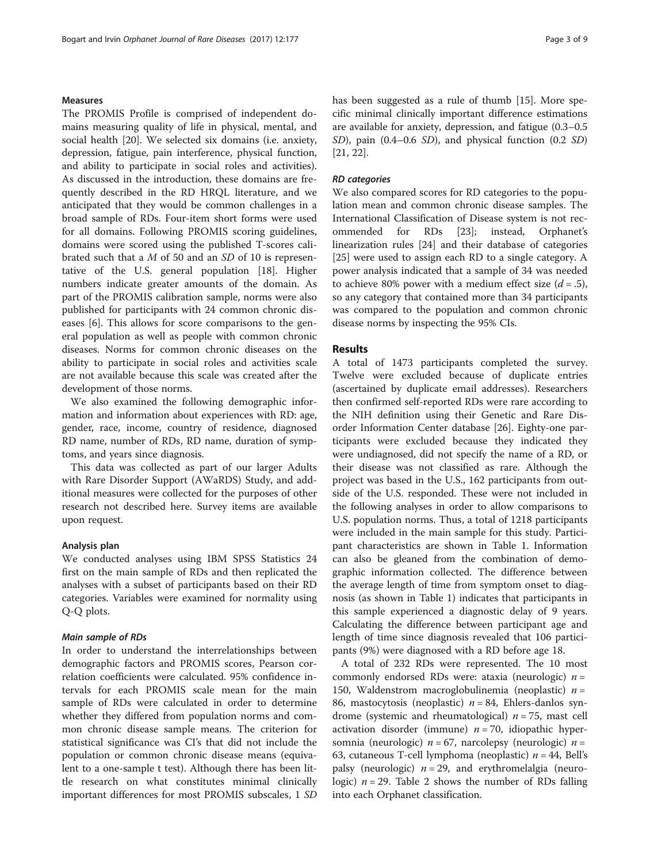# Measures

The PROMIS Profile is comprised of independent domains measuring quality of life in physical, mental, and social health [\[20\]](#page-7-0). We selected six domains (i.e. anxiety, depression, fatigue, pain interference, physical function, and ability to participate in social roles and activities). As discussed in the introduction, these domains are frequently described in the RD HRQL literature, and we anticipated that they would be common challenges in a broad sample of RDs. Four-item short forms were used for all domains. Following PROMIS scoring guidelines, domains were scored using the published T-scores calibrated such that a  $M$  of 50 and an SD of 10 is representative of the U.S. general population [\[18](#page-7-0)]. Higher numbers indicate greater amounts of the domain. As part of the PROMIS calibration sample, norms were also published for participants with 24 common chronic diseases [\[6](#page-7-0)]. This allows for score comparisons to the general population as well as people with common chronic diseases. Norms for common chronic diseases on the ability to participate in social roles and activities scale are not available because this scale was created after the development of those norms.

We also examined the following demographic information and information about experiences with RD: age, gender, race, income, country of residence, diagnosed RD name, number of RDs, RD name, duration of symptoms, and years since diagnosis.

This data was collected as part of our larger Adults with Rare Disorder Support (AWaRDS) Study, and additional measures were collected for the purposes of other research not described here. Survey items are available upon request.

# Analysis plan

We conducted analyses using IBM SPSS Statistics 24 first on the main sample of RDs and then replicated the analyses with a subset of participants based on their RD categories. Variables were examined for normality using Q-Q plots.

In order to understand the interrelationships between demographic factors and PROMIS scores, Pearson correlation coefficients were calculated. 95% confidence intervals for each PROMIS scale mean for the main sample of RDs were calculated in order to determine whether they differed from population norms and common chronic disease sample means. The criterion for statistical significance was CI's that did not include the population or common chronic disease means (equivalent to a one-sample t test). Although there has been little research on what constitutes minimal clinically important differences for most PROMIS subscales, 1 SD has been suggested as a rule of thumb [\[15\]](#page-7-0). More specific minimal clinically important difference estimations are available for anxiety, depression, and fatigue (0.3–0.5 SD), pain (0.4–0.6 SD), and physical function (0.2 SD) [[21, 22\]](#page-7-0).

We also compared scores for RD categories to the population mean and common chronic disease samples. The International Classification of Disease system is not recommended for RDs [[23\]](#page-7-0); instead, Orphanet's linearization rules [[24\]](#page-7-0) and their database of categories [[25\]](#page-7-0) were used to assign each RD to a single category. A power analysis indicated that a sample of 34 was needed to achieve 80% power with a medium effect size  $(d = .5)$ , so any category that contained more than 34 participants was compared to the population and common chronic disease norms by inspecting the 95% CIs.

# **Results**

A total of 1473 participants completed the survey. Twelve were excluded because of duplicate entries (ascertained by duplicate email addresses). Researchers then confirmed self-reported RDs were rare according to the NIH definition using their Genetic and Rare Disorder Information Center database [[26\]](#page-7-0). Eighty-one participants were excluded because they indicated they were undiagnosed, did not specify the name of a RD, or their disease was not classified as rare. Although the project was based in the U.S., 162 participants from outside of the U.S. responded. These were not included in the following analyses in order to allow comparisons to U.S. population norms. Thus, a total of 1218 participants were included in the main sample for this study. Participant characteristics are shown in Table [1.](#page-3-0) Information can also be gleaned from the combination of demographic information collected. The difference between the average length of time from symptom onset to diagnosis (as shown in Table [1](#page-3-0)) indicates that participants in this sample experienced a diagnostic delay of 9 years. Calculating the difference between participant age and length of time since diagnosis revealed that 106 participants (9%) were diagnosed with a RD before age 18.

A total of 232 RDs were represented. The 10 most commonly endorsed RDs were: ataxia (neurologic)  $n =$ 150, Waldenstrom macroglobulinemia (neoplastic)  $n =$ 86, mastocytosis (neoplastic)  $n = 84$ , Ehlers-danlos syndrome (systemic and rheumatological)  $n = 75$ , mast cell activation disorder (immune)  $n = 70$ , idiopathic hypersomnia (neurologic)  $n = 67$ , narcolepsy (neurologic)  $n =$ 63, cutaneous T-cell lymphoma (neoplastic)  $n = 44$ , Bell's palsy (neurologic)  $n = 29$ , and erythromelalgia (neurologic)  $n = 29$  $n = 29$  $n = 29$ . Table 2 shows the number of RDs falling into each Orphanet classification.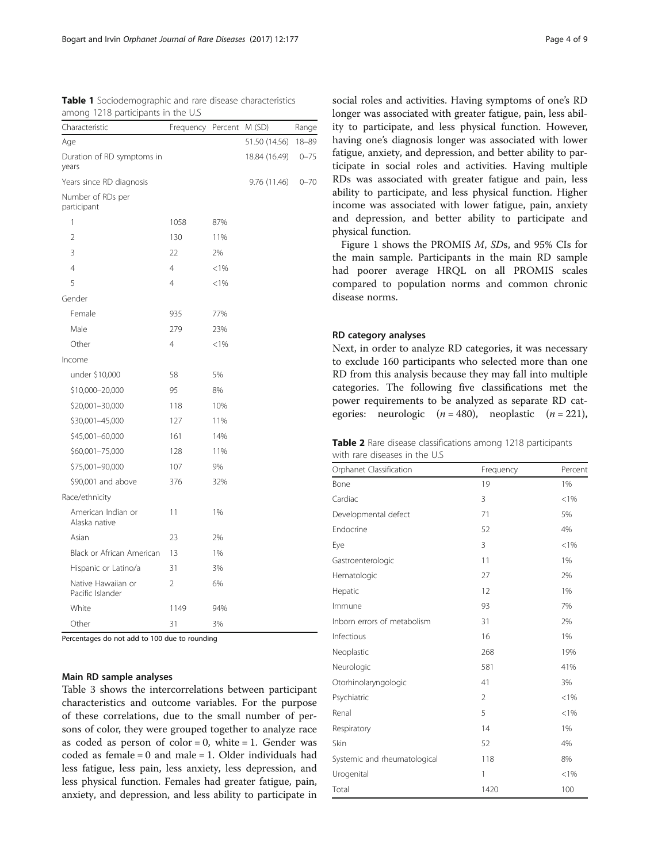| Characteristic                         | Frequency      | Percent | M (SD)        | Range     |
|----------------------------------------|----------------|---------|---------------|-----------|
| Age                                    |                |         | 51.50 (14.56) | $18 - 89$ |
| Duration of RD symptoms in<br>years    |                |         | 18.84 (16.49) | $0 - 75$  |
| Years since RD diagnosis               |                |         | 9.76 (11.46)  | $0 - 70$  |
| Number of RDs per<br>participant       |                |         |               |           |
| 1                                      | 1058           | 87%     |               |           |
| $\overline{2}$                         | 130            | 11%     |               |           |
| 3                                      | 22             | 2%      |               |           |
| 4                                      | $\overline{4}$ | $< 1\%$ |               |           |
| 5                                      | $\overline{4}$ | < 1%    |               |           |
| Gender                                 |                |         |               |           |
| Female                                 | 935            | 77%     |               |           |
| Male                                   | 279            | 23%     |               |           |
| Other                                  | $\overline{4}$ | $< 1\%$ |               |           |
| Income                                 |                |         |               |           |
| under \$10,000                         | 58             | 5%      |               |           |
| \$10,000-20,000                        | 95             | 8%      |               |           |
| \$20,001-30,000                        | 118            | 10%     |               |           |
| \$30,001-45,000                        | 127            | 11%     |               |           |
| \$45,001-60,000                        | 161            | 14%     |               |           |
| \$60,001-75,000                        | 128            | 11%     |               |           |
| \$75,001-90,000                        | 107            | 9%      |               |           |
| \$90,001 and above                     | 376            | 32%     |               |           |
| Race/ethnicity                         |                |         |               |           |
| American Indian or<br>Alaska native    | 11             | 1%      |               |           |
| Asian                                  | 23             | 2%      |               |           |
| Black or African American              | 13             | 1%      |               |           |
| Hispanic or Latino/a                   | 31             | 3%      |               |           |
| Native Hawaiian or<br>Pacific Islander | $\overline{2}$ | 6%      |               |           |
| White                                  | 1149           | 94%     |               |           |
| Other                                  | 31             | 3%      |               |           |

<span id="page-3-0"></span>Table 1 Sociodemographic and rare disease characteristics among 1218 participants in the U.S

Percentages do not add to 100 due to rounding

# Main RD sample analyses

Table [3](#page-4-0) shows the intercorrelations between participant characteristics and outcome variables. For the purpose of these correlations, due to the small number of persons of color, they were grouped together to analyze race as coded as person of  $color = 0$ , white  $= 1$ . Gender was coded as female = 0 and male = 1. Older individuals had less fatigue, less pain, less anxiety, less depression, and less physical function. Females had greater fatigue, pain, anxiety, and depression, and less ability to participate in social roles and activities. Having symptoms of one's RD longer was associated with greater fatigue, pain, less ability to participate, and less physical function. However, having one's diagnosis longer was associated with lower fatigue, anxiety, and depression, and better ability to participate in social roles and activities. Having multiple RDs was associated with greater fatigue and pain, less ability to participate, and less physical function. Higher income was associated with lower fatigue, pain, anxiety and depression, and better ability to participate and physical function.

Figure [1](#page-5-0) shows the PROMIS M, SDs, and 95% CIs for the main sample. Participants in the main RD sample had poorer average HRQL on all PROMIS scales compared to population norms and common chronic disease norms.

## RD category analyses

Next, in order to analyze RD categories, it was necessary to exclude 160 participants who selected more than one RD from this analysis because they may fall into multiple categories. The following five classifications met the power requirements to be analyzed as separate RD categories: neurologic  $(n = 480)$ , neoplastic  $(n = 221)$ ,

| Table 2 Rare disease classifications among 1218 participants |  |
|--------------------------------------------------------------|--|
| with rare diseases in the U.S                                |  |

| Orphanet Classification      | Frequency      | Percent |
|------------------------------|----------------|---------|
| Bone                         | 19             | 1%      |
| Cardiac                      | 3              | < 1%    |
| Developmental defect         | 71             | 5%      |
| Endocrine                    | 52             | 4%      |
| Eye                          | 3              | < 1%    |
| Gastroenterologic            | 11             | 1%      |
| Hematologic                  | 27             | 2%      |
| Hepatic                      | 12             | 1%      |
| Immune                       | 93             | 7%      |
| Inborn errors of metabolism  | 31             | 2%      |
| Infectious                   | 16             | 1%      |
| Neoplastic                   | 268            | 19%     |
| Neurologic                   | 581            | 41%     |
| Otorhinolaryngologic         | 41             | 3%      |
| Psychiatric                  | $\overline{2}$ | < 1%    |
| Renal                        | 5              | < 1%    |
| Respiratory                  | 14             | 1%      |
| Skin                         | 52             | 4%      |
| Systemic and rheumatological | 118            | 8%      |
| Urogenital                   | 1              | < 1%    |
| Total                        | 1420           | 100     |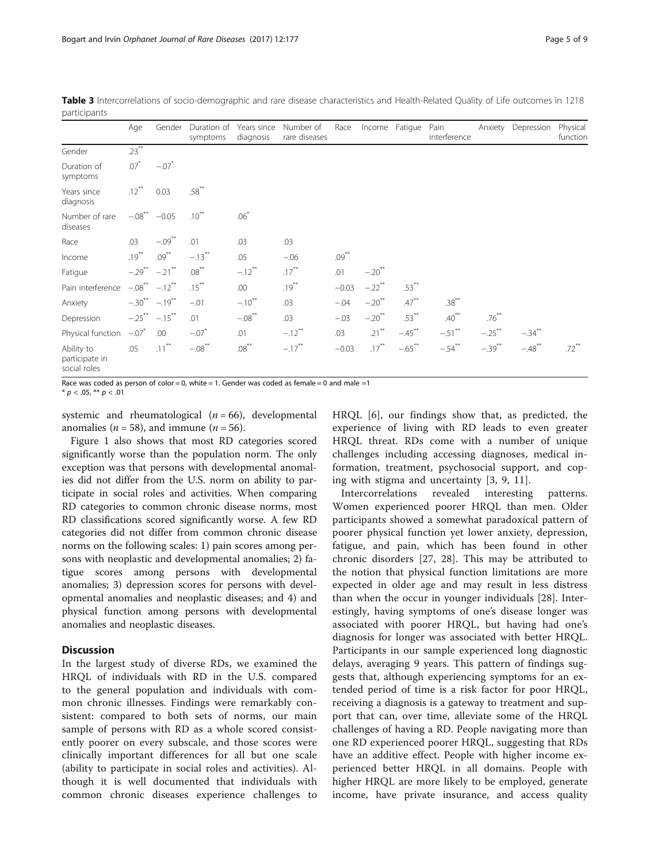|                                              | Age                  | Gender               | Duration of<br>symptoms | Years since<br>diagnosis | Number of<br>rare diseases | Race     | Income Fatigue       |           | Pain<br>interference | Anxiety   | Depression           | Physical<br>function |
|----------------------------------------------|----------------------|----------------------|-------------------------|--------------------------|----------------------------|----------|----------------------|-----------|----------------------|-----------|----------------------|----------------------|
| Gender                                       | $23***$              |                      |                         |                          |                            |          |                      |           |                      |           |                      |                      |
| Duration of<br>symptoms                      | $.07*$               | $-.07$ <sup>*</sup>  |                         |                          |                            |          |                      |           |                      |           |                      |                      |
| Years since<br>diagnosis                     | $.12***$             | 0.03                 | $.58***$                |                          |                            |          |                      |           |                      |           |                      |                      |
| Number of rare<br>diseases                   | $-.08$ <sup>**</sup> | $-0.05$              | $.10***$                | $.06*$                   |                            |          |                      |           |                      |           |                      |                      |
| Race                                         | .03                  | $-.09***$            | .01                     | .03                      | .03                        |          |                      |           |                      |           |                      |                      |
| Income                                       | $.19***$             | $.09***$             | $-13**$                 | .05                      | $-.06$                     | $.09***$ |                      |           |                      |           |                      |                      |
| Fatigue                                      | $-.29$ <sup>**</sup> | $-.21$ <sup>**</sup> | $.08***$                | $-.12$ <sup>**</sup>     | $.17***$                   | .01      | $-.20$ <sup>**</sup> |           |                      |           |                      |                      |
| Pain interference                            | $-.08$ ** $-.12$ **  |                      | $.15***$                | .00                      | $.19***$                   | $-0.03$  | $-.22$ <sup>**</sup> | $.53***$  |                      |           |                      |                      |
| Anxiety                                      | $-.30$ <sup>**</sup> | $-.19$ <sup>**</sup> | $-.01$                  | $-.10$ <sup>**</sup>     | .03                        | $-.04$   | $-.20$ <sup>**</sup> | $.47***$  | $.38***$             |           |                      |                      |
| Depression                                   | $-.25***$ $-.15***$  |                      | .01                     | $-.08$ <sup>**</sup>     | .03                        | $-.03$   | $-.20$ <sup>**</sup> | $.53***$  | $.40^{**}$           | $.76***$  |                      |                      |
| Physical function                            | $-.07$ <sup>*</sup>  | .00                  | $-.07$ <sup>*</sup>     | .01                      | $-.12$ <sup>**</sup>       | .03      | $.21$ <sup>**</sup>  | $-.45***$ | $-.51$ <sup>**</sup> | $-.25***$ | $-.34$ <sup>**</sup> |                      |
| Ability to<br>participate in<br>social roles | .05                  | $.11***$             | $-.08$ <sup>**</sup>    | $.08***$                 | $-.17$ <sup>**</sup>       | $-0.03$  | $.17***$             | $-.65***$ | $-.54$ <sup>**</sup> | $-.39***$ | $-.48$ <sup>**</sup> | $.72***$             |

<span id="page-4-0"></span>Table 3 Intercorrelations of socio-demographic and rare disease characteristics and Health-Related Quality of Life outcomes in 1218 participants

Race was coded as person of color = 0, white = 1. Gender was coded as female = 0 and male = 1

 $* p < .05, ** p < .01$ 

systemic and rheumatological  $(n = 66)$ , developmental anomalies ( $n = 58$ ), and immune ( $n = 56$ ).

Figure [1](#page-5-0) also shows that most RD categories scored significantly worse than the population norm. The only exception was that persons with developmental anomalies did not differ from the U.S. norm on ability to participate in social roles and activities. When comparing RD categories to common chronic disease norms, most RD classifications scored significantly worse. A few RD categories did not differ from common chronic disease norms on the following scales: 1) pain scores among persons with neoplastic and developmental anomalies; 2) fatigue scores among persons with developmental anomalies; 3) depression scores for persons with developmental anomalies and neoplastic diseases; and 4) and physical function among persons with developmental anomalies and neoplastic diseases.

# **Discussion**

In the largest study of diverse RDs, we examined the HRQL of individuals with RD in the U.S. compared to the general population and individuals with common chronic illnesses. Findings were remarkably consistent: compared to both sets of norms, our main sample of persons with RD as a whole scored consistently poorer on every subscale, and those scores were clinically important differences for all but one scale (ability to participate in social roles and activities). Although it is well documented that individuals with common chronic diseases experience challenges to HRQL [\[6](#page-7-0)], our findings show that, as predicted, the experience of living with RD leads to even greater HRQL threat. RDs come with a number of unique challenges including accessing diagnoses, medical information, treatment, psychosocial support, and coping with stigma and uncertainty [[3, 9, 11](#page-7-0)].

Intercorrelations revealed interesting patterns. Women experienced poorer HRQL than men. Older participants showed a somewhat paradoxical pattern of poorer physical function yet lower anxiety, depression, fatigue, and pain, which has been found in other chronic disorders [\[27](#page-7-0), [28](#page-7-0)]. This may be attributed to the notion that physical function limitations are more expected in older age and may result in less distress than when the occur in younger individuals [[28\]](#page-7-0). Interestingly, having symptoms of one's disease longer was associated with poorer HRQL, but having had one's diagnosis for longer was associated with better HRQL. Participants in our sample experienced long diagnostic delays, averaging 9 years. This pattern of findings suggests that, although experiencing symptoms for an extended period of time is a risk factor for poor HRQL, receiving a diagnosis is a gateway to treatment and support that can, over time, alleviate some of the HRQL challenges of having a RD. People navigating more than one RD experienced poorer HRQL, suggesting that RDs have an additive effect. People with higher income experienced better HRQL in all domains. People with higher HRQL are more likely to be employed, generate income, have private insurance, and access quality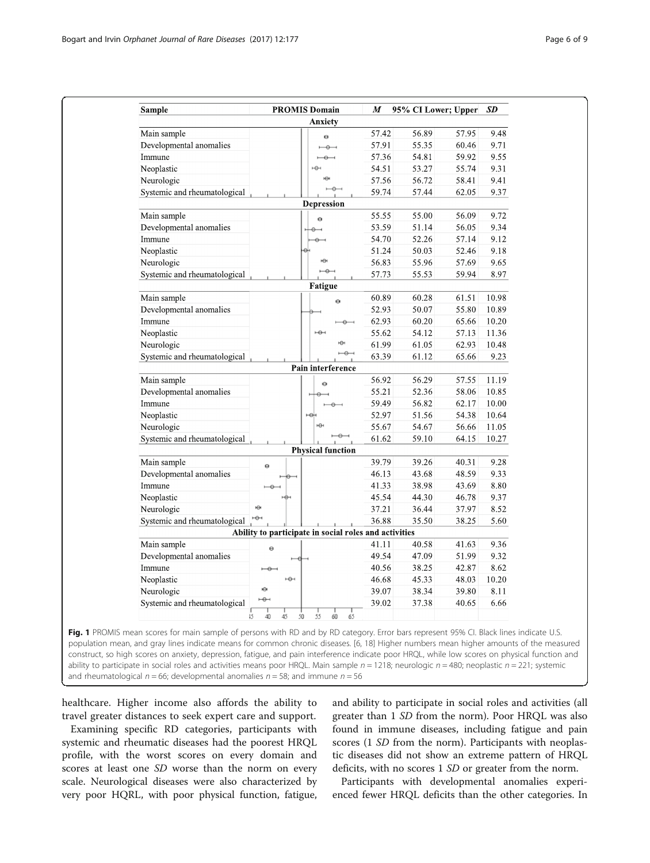<span id="page-5-0"></span>

| <b>Sample</b>                |                                                       | <b>PROMIS Domain</b>     | M     | 95% CI Lower; Upper |       | <b>SD</b> |
|------------------------------|-------------------------------------------------------|--------------------------|-------|---------------------|-------|-----------|
|                              |                                                       | <b>Anxiety</b>           |       |                     |       |           |
| Main sample                  |                                                       | $\Theta$                 | 57.42 | 56.89               | 57.95 | 9.48      |
| Developmental anomalies      |                                                       | $\overline{\phantom{0}}$ | 57.91 | 55.35               | 60.46 | 9.71      |
| Immune                       |                                                       |                          | 57.36 | 54.81               | 59.92 | 9.55      |
| Neoplastic                   |                                                       | ю                        | 54.51 | 53.27               | 55.74 | 9.31      |
| Neurologic                   |                                                       | $H \rightarrow$          | 57.56 | 56.72               | 58.41 | 9.41      |
| Systemic and rheumatological |                                                       | $\overline{\phantom{0}}$ | 59.74 | 57.44               | 62.05 | 9.37      |
|                              |                                                       | <b>Depression</b>        |       |                     |       |           |
| Main sample                  |                                                       | Θ                        | 55.55 | 55.00               | 56.09 | 9.72      |
| Developmental anomalies      |                                                       | ≏                        | 53.59 | 51.14               | 56.05 | 9.34      |
| Immune                       |                                                       |                          | 54.70 | 52.26               | 57.14 | 9.12      |
| Neoplastic                   |                                                       |                          | 51.24 | 50.03               | 52.46 | 9.18      |
| Neurologic                   |                                                       | Ή                        | 56.83 | 55.96               | 57.69 | 9.65      |
| Systemic and rheumatological |                                                       | $\overline{\phantom{0}}$ | 57.73 | 55.53               | 59.94 | 8.97      |
|                              |                                                       | Fatigue                  |       |                     |       |           |
| Main sample                  |                                                       | Θ                        | 60.89 | 60.28               | 61.51 | 10.98     |
| Developmental anomalies      |                                                       |                          | 52.93 | 50.07               | 55.80 | 10.89     |
| Immune                       |                                                       | $\Theta$                 | 62.93 | 60.20               | 65.66 | 10.20     |
| Neoplastic                   |                                                       | $\theta$                 | 55.62 | 54.12               | 57.13 | 11.36     |
| Neurologic                   |                                                       | Ť                        | 61.99 | 61.05               | 62.93 | 10.48     |
| Systemic and rheumatological |                                                       | $\rightarrow$            | 63.39 | 61.12               | 65.66 | 9.23      |
|                              |                                                       | Pain interference        |       |                     |       |           |
| Main sample                  |                                                       |                          | 56.92 | 56.29               | 57.55 | 11.19     |
| Developmental anomalies      |                                                       | $\Theta$                 | 55.21 | 52.36               | 58.06 | 10.85     |
| Immune                       |                                                       |                          | 59.49 | 56.82               | 62.17 | 10.00     |
| Neoplastic                   |                                                       | ⊢⊖⊹                      | 52.97 | 51.56               | 54.38 | 10.64     |
| Neurologic                   |                                                       | $\Theta$                 | 55.67 | 54.67               | 56.66 | 11.05     |
| Systemic and rheumatological |                                                       |                          | 61.62 | 59.10               | 64.15 | 10.27     |
|                              |                                                       | <b>Physical function</b> |       |                     |       |           |
| Main sample                  |                                                       |                          | 39.79 | 39.26               | 40.31 | 9.28      |
| Developmental anomalies      | θ                                                     |                          | 46.13 | 43.68               | 48.59 | 9.33      |
| Immune                       |                                                       |                          | 41.33 | 38.98               | 43.69 | 8.80      |
| Neoplastic                   | ۔ دیک                                                 |                          | 45.54 | 44.30               | 46.78 | 9.37      |
| Neurologic                   | $\Theta$                                              |                          | 37.21 | 36.44               | 37.97 | 8.52      |
| Systemic and rheumatological |                                                       |                          | 36.88 | 35.50               | 38.25 | 5.60      |
|                              | Ability to participate in social roles and activities |                          |       |                     |       |           |
| Main sample                  |                                                       |                          | 41.11 | 40.58               | 41.63 | 9.36      |
| Developmental anomalies      | $\Theta$                                              |                          | 49.54 | 47.09               | 51.99 | 9.32      |
| Immune                       |                                                       |                          | 40.56 | 38.25               | 42.87 | 8.62      |
| Neoplastic                   | $\Theta$<br>$\theta$                                  |                          | 46.68 | 45.33               | 48.03 | 10.20     |
|                              | Ō                                                     |                          | 39.07 | 38.34               | 39.80 | 8.11      |
| Neurologic                   | $\theta$                                              |                          |       |                     |       |           |
| Systemic and rheumatological |                                                       |                          | 39.02 | 37.38               | 40.65 | 6.66      |
|                              | 15<br>45<br>50<br>40                                  | 55<br>60<br>65           |       |                     |       |           |

ability to participate in social roles and activities means poor HRQL. Main sample  $n = 1218$ ; neurologic  $n = 480$ ; neoplastic  $n = 221$ ; systemic and rheumatological  $n = 66$ ; developmental anomalies  $n = 58$ ; and immune  $n = 56$ 

healthcare. Higher income also affords the ability to travel greater distances to seek expert care and support.

Examining specific RD categories, participants with systemic and rheumatic diseases had the poorest HRQL profile, with the worst scores on every domain and scores at least one SD worse than the norm on every scale. Neurological diseases were also characterized by very poor HQRL, with poor physical function, fatigue,

and ability to participate in social roles and activities (all greater than 1 SD from the norm). Poor HRQL was also found in immune diseases, including fatigue and pain scores (1 SD from the norm). Participants with neoplastic diseases did not show an extreme pattern of HRQL deficits, with no scores 1 SD or greater from the norm.

Participants with developmental anomalies experienced fewer HRQL deficits than the other categories. In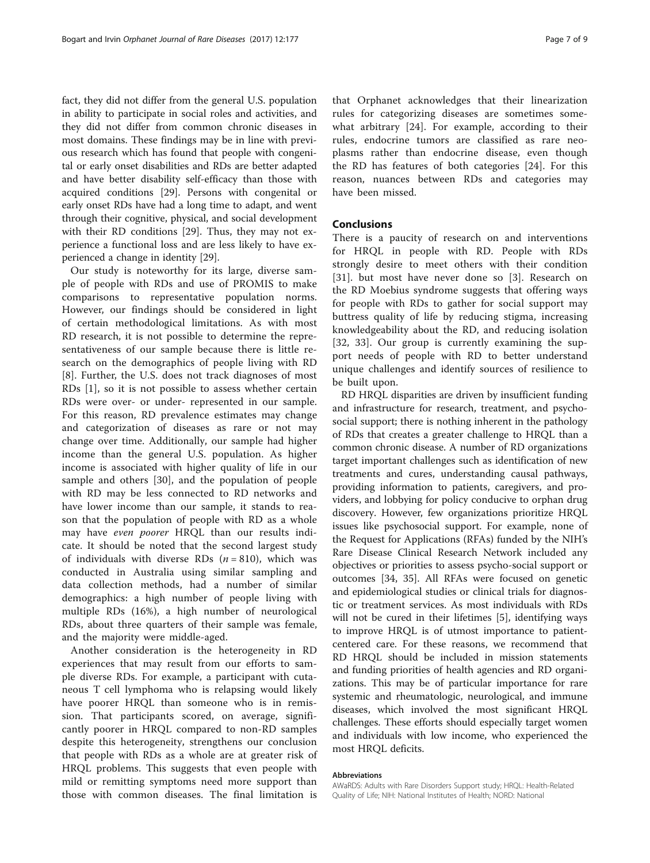fact, they did not differ from the general U.S. population in ability to participate in social roles and activities, and they did not differ from common chronic diseases in most domains. These findings may be in line with previous research which has found that people with congenital or early onset disabilities and RDs are better adapted and have better disability self-efficacy than those with acquired conditions [\[29](#page-7-0)]. Persons with congenital or early onset RDs have had a long time to adapt, and went through their cognitive, physical, and social development with their RD conditions [\[29\]](#page-7-0). Thus, they may not experience a functional loss and are less likely to have experienced a change in identity [\[29\]](#page-7-0).

Our study is noteworthy for its large, diverse sample of people with RDs and use of PROMIS to make comparisons to representative population norms. However, our findings should be considered in light of certain methodological limitations. As with most RD research, it is not possible to determine the representativeness of our sample because there is little research on the demographics of people living with RD [[8\]](#page-7-0). Further, the U.S. does not track diagnoses of most RDs [[1](#page-7-0)], so it is not possible to assess whether certain RDs were over- or under- represented in our sample. For this reason, RD prevalence estimates may change and categorization of diseases as rare or not may change over time. Additionally, our sample had higher income than the general U.S. population. As higher income is associated with higher quality of life in our sample and others [[30\]](#page-7-0), and the population of people with RD may be less connected to RD networks and have lower income than our sample, it stands to reason that the population of people with RD as a whole may have even poorer HRQL than our results indicate. It should be noted that the second largest study of individuals with diverse RDs  $(n = 810)$ , which was conducted in Australia using similar sampling and data collection methods, had a number of similar demographics: a high number of people living with multiple RDs (16%), a high number of neurological RDs, about three quarters of their sample was female, and the majority were middle-aged.

Another consideration is the heterogeneity in RD experiences that may result from our efforts to sample diverse RDs. For example, a participant with cutaneous T cell lymphoma who is relapsing would likely have poorer HRQL than someone who is in remission. That participants scored, on average, significantly poorer in HRQL compared to non-RD samples despite this heterogeneity, strengthens our conclusion that people with RDs as a whole are at greater risk of HRQL problems. This suggests that even people with mild or remitting symptoms need more support than those with common diseases. The final limitation is that Orphanet acknowledges that their linearization rules for categorizing diseases are sometimes somewhat arbitrary [\[24](#page-7-0)]. For example, according to their rules, endocrine tumors are classified as rare neoplasms rather than endocrine disease, even though the RD has features of both categories [[24](#page-7-0)]. For this reason, nuances between RDs and categories may have been missed.

# Conclusions

There is a paucity of research on and interventions for HRQL in people with RD. People with RDs strongly desire to meet others with their condition [[31\]](#page-8-0). but most have never done so [[3\]](#page-7-0). Research on the RD Moebius syndrome suggests that offering ways for people with RDs to gather for social support may buttress quality of life by reducing stigma, increasing knowledgeability about the RD, and reducing isolation [[32, 33\]](#page-8-0). Our group is currently examining the support needs of people with RD to better understand unique challenges and identify sources of resilience to be built upon.

RD HRQL disparities are driven by insufficient funding and infrastructure for research, treatment, and psychosocial support; there is nothing inherent in the pathology of RDs that creates a greater challenge to HRQL than a common chronic disease. A number of RD organizations target important challenges such as identification of new treatments and cures, understanding causal pathways, providing information to patients, caregivers, and providers, and lobbying for policy conducive to orphan drug discovery. However, few organizations prioritize HRQL issues like psychosocial support. For example, none of the Request for Applications (RFAs) funded by the NIH's Rare Disease Clinical Research Network included any objectives or priorities to assess psycho-social support or outcomes [\[34](#page-8-0), [35](#page-8-0)]. All RFAs were focused on genetic and epidemiological studies or clinical trials for diagnostic or treatment services. As most individuals with RDs will not be cured in their lifetimes [[5\]](#page-7-0), identifying ways to improve HRQL is of utmost importance to patientcentered care. For these reasons, we recommend that RD HRQL should be included in mission statements and funding priorities of health agencies and RD organizations. This may be of particular importance for rare systemic and rheumatologic, neurological, and immune diseases, which involved the most significant HRQL challenges. These efforts should especially target women and individuals with low income, who experienced the most HRQL deficits.

#### Abbreviations

AWaRDS: Adults with Rare Disorders Support study; HRQL: Health-Related Quality of Life; NIH: National Institutes of Health; NORD: National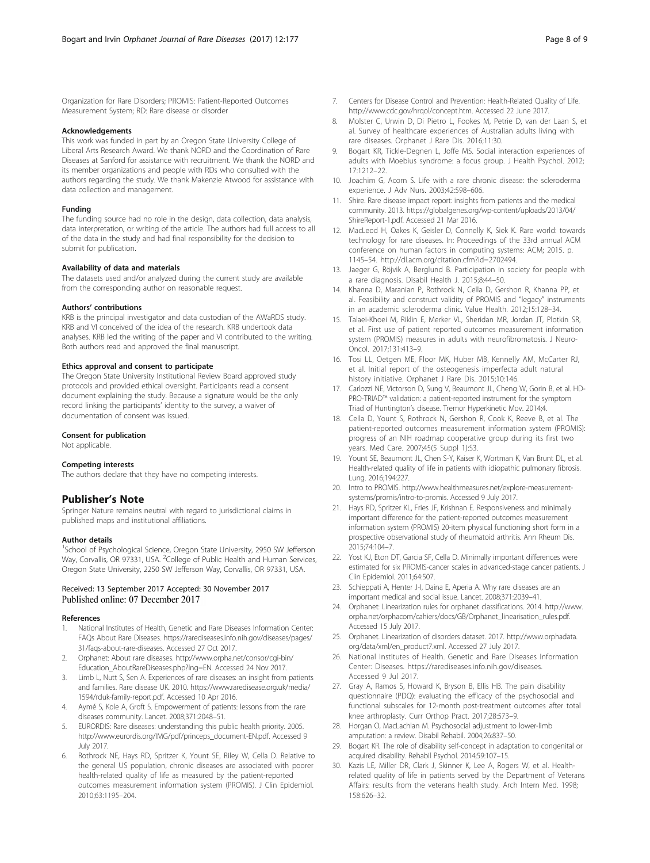<span id="page-7-0"></span>Organization for Rare Disorders; PROMIS: Patient-Reported Outcomes Measurement System; RD: Rare disease or disorder

#### Acknowledgements

This work was funded in part by an Oregon State University College of Liberal Arts Research Award. We thank NORD and the Coordination of Rare Diseases at Sanford for assistance with recruitment. We thank the NORD and its member organizations and people with RDs who consulted with the authors regarding the study. We thank Makenzie Atwood for assistance with data collection and management.

### Funding

The funding source had no role in the design, data collection, data analysis, data interpretation, or writing of the article. The authors had full access to all of the data in the study and had final responsibility for the decision to submit for publication.

### Availability of data and materials

The datasets used and/or analyzed during the current study are available from the corresponding author on reasonable request.

#### Authors' contributions

KRB is the principal investigator and data custodian of the AWaRDS study. KRB and VI conceived of the idea of the research. KRB undertook data analyses. KRB led the writing of the paper and VI contributed to the writing. Both authors read and approved the final manuscript.

# Ethics approval and consent to participate

The Oregon State University Institutional Review Board approved study protocols and provided ethical oversight. Participants read a consent document explaining the study. Because a signature would be the only record linking the participants' identity to the survey, a waiver of documentation of consent was issued.

#### Consent for publication

Not applicable.

#### Competing interests

The authors declare that they have no competing interests.

## Publisher's Note

Springer Nature remains neutral with regard to jurisdictional claims in published maps and institutional affiliations.

#### Author details

<sup>1</sup>School of Psychological Science, Oregon State University, 2950 SW Jefferson Way, Corvallis, OR 97331, USA. <sup>2</sup>College of Public Health and Human Services, Oregon State University, 2250 SW Jefferson Way, Corvallis, OR 97331, USA.

### Received: 13 September 2017 Accepted: 30 November 2017 Published online: 07 December 2017

#### References

- 1. National Institutes of Health, Genetic and Rare Diseases Information Center: FAQs About Rare Diseases. [https://rarediseases.info.nih.gov/diseases/pages/](https://rarediseases.info.nih.gov/diseases/pages/31/faqs-about-rare-diseases) [31/faqs-about-rare-diseases](https://rarediseases.info.nih.gov/diseases/pages/31/faqs-about-rare-diseases). Accessed 27 Oct 2017.
- 2. Orphanet: About rare diseases. [http://www.orpha.net/consor/cgi-bin/](http://www.orpha.net/consor/cgi-bin/Education_AboutRareDiseases.php?lng=EN) [Education\\_AboutRareDiseases.php?lng=EN.](http://www.orpha.net/consor/cgi-bin/Education_AboutRareDiseases.php?lng=EN) Accessed 24 Nov 2017.
- 3. Limb L, Nutt S, Sen A. Experiences of rare diseases: an insight from patients and families. Rare disease UK. 2010. [https://www.raredisease.org.uk/media/](https://www.raredisease.org.uk/media/1594/rduk-family-report.pdf) [1594/rduk-family-report.pdf.](https://www.raredisease.org.uk/media/1594/rduk-family-report.pdf) Accessed 10 Apr 2016.
- Aymé S, Kole A, Groft S. Empowerment of patients: lessons from the rare diseases community. Lancet. 2008;371:2048–51.
- 5. EURORDIS: Rare diseases: understanding this public health priority. 2005. [http://www.eurordis.org/IMG/pdf/princeps\\_document-EN.pdf](http://www.eurordis.org/IMG/pdf/princeps_document-EN.pdf). Accessed 9 July 2017.
- 6. Rothrock NE, Hays RD, Spritzer K, Yount SE, Riley W, Cella D. Relative to the general US population, chronic diseases are associated with poorer health-related quality of life as measured by the patient-reported outcomes measurement information system (PROMIS). J Clin Epidemiol. 2010;63:1195–204.
- 7. Centers for Disease Control and Prevention: Health-Related Quality of Life. <http://www.cdc.gov/hrqol/concept.htm>. Accessed 22 June 2017.
- 8. Molster C, Urwin D, Di Pietro L, Fookes M, Petrie D, van der Laan S, et al. Survey of healthcare experiences of Australian adults living with rare diseases. Orphanet J Rare Dis. 2016;11:30.
- 9. Bogart KR, Tickle-Degnen L, Joffe MS. Social interaction experiences of adults with Moebius syndrome: a focus group. J Health Psychol. 2012; 17:1212–22.
- 10. Joachim G, Acorn S. Life with a rare chronic disease: the scleroderma experience. J Adv Nurs. 2003;42:598–606.
- 11. Shire. Rare disease impact report: insights from patients and the medical community. 2013. [https://globalgenes.org/wp-content/uploads/2013/04/](https://globalgenes.org/wp-content/uploads/2013/04/ShireReport-1.pdf) [ShireReport-1.pdf.](https://globalgenes.org/wp-content/uploads/2013/04/ShireReport-1.pdf) Accessed 21 Mar 2016.
- 12. MacLeod H, Oakes K, Geisler D, Connelly K, Siek K. Rare world: towards technology for rare diseases. In: Proceedings of the 33rd annual ACM conference on human factors in computing systems: ACM; 2015. p. 1145–54. [http://dl.acm.org/citation.cfm?id=2702494.](http://dl.acm.org/citation.cfm?id=2702494)
- 13. Jaeger G, Röjvik A, Berglund B. Participation in society for people with a rare diagnosis. Disabil Health J. 2015;8:44–50.
- 14. Khanna D, Maranian P, Rothrock N, Cella D, Gershon R, Khanna PP, et al. Feasibility and construct validity of PROMIS and "legacy" instruments in an academic scleroderma clinic. Value Health. 2012;15:128–34.
- 15. Talaei-Khoei M, Riklin E, Merker VL, Sheridan MR, Jordan JT, Plotkin SR, et al. First use of patient reported outcomes measurement information system (PROMIS) measures in adults with neurofibromatosis. J Neuro-Oncol. 2017;131:413–9.
- 16. Tosi LL, Oetgen ME, Floor MK, Huber MB, Kennelly AM, McCarter RJ, et al. Initial report of the osteogenesis imperfecta adult natural history initiative. Orphanet J Rare Dis. 2015;10:146.
- 17. Carlozzi NE, Victorson D, Sung V, Beaumont JL, Cheng W, Gorin B, et al. HD-PRO-TRIAD™ validation: a patient-reported instrument for the symptom Triad of Huntington's disease. Tremor Hyperkinetic Mov. 2014;4.
- 18. Cella D, Yount S, Rothrock N, Gershon R, Cook K, Reeve B, et al. The patient-reported outcomes measurement information system (PROMIS): progress of an NIH roadmap cooperative group during its first two years. Med Care. 2007;45(5 Suppl 1):S3.
- 19. Yount SE, Beaumont JL, Chen S-Y, Kaiser K, Wortman K, Van Brunt DL, et al. Health-related quality of life in patients with idiopathic pulmonary fibrosis. Lung. 2016;194:227.
- 20. Intro to PROMIS. [http://www.healthmeasures.net/explore-measurement](http://www.healthmeasures.net/explore-measurement-systems/promis/intro-to-promis)[systems/promis/intro-to-promis](http://www.healthmeasures.net/explore-measurement-systems/promis/intro-to-promis). Accessed 9 July 2017.
- 21. Hays RD, Spritzer KL, Fries JF, Krishnan E. Responsiveness and minimally important difference for the patient-reported outcomes measurement information system (PROMIS) 20-item physical functioning short form in a prospective observational study of rheumatoid arthritis. Ann Rheum Dis. 2015;74:104–7.
- 22. Yost KJ, Eton DT, Garcia SF, Cella D. Minimally important differences were estimated for six PROMIS-cancer scales in advanced-stage cancer patients. J Clin Epidemiol. 2011;64:507.
- 23. Schieppati A, Henter J-I, Daina E, Aperia A. Why rare diseases are an important medical and social issue. Lancet. 2008;371:2039–41.
- 24. Orphanet: Linearization rules for orphanet classifications. 2014. [http://www.](http://www.orpha.net/orphacom/cahiers/docs/GB/Orphanet_linearisation_rules.pdf) [orpha.net/orphacom/cahiers/docs/GB/Orphanet\\_linearisation\\_rules.pdf.](http://www.orpha.net/orphacom/cahiers/docs/GB/Orphanet_linearisation_rules.pdf) Accessed 15 July 2017.
- 25. Orphanet. Linearization of disorders dataset. 2017. [http://www.orphadata.](http://www.orphadata.org/data/xml/en_product7.xml) [org/data/xml/en\\_product7.xml.](http://www.orphadata.org/data/xml/en_product7.xml) Accessed 27 July 2017.
- 26. National Institutes of Health. Genetic and Rare Diseases Information Center: Diseases. [https://rarediseases.info.nih.gov/diseases.](https://rarediseases.info.nih.gov/diseases) Accessed 9 Jul 2017.
- 27. Gray A, Ramos S, Howard K, Bryson B, Ellis HB. The pain disability questionnaire (PDQ): evaluating the efficacy of the psychosocial and functional subscales for 12-month post-treatment outcomes after total knee arthroplasty. Curr Orthop Pract. 2017;28:573–9.
- 28. Horgan O, MacLachlan M. Psychosocial adjustment to lower-limb amputation: a review. Disabil Rehabil. 2004;26:837–50.
- 29. Bogart KR. The role of disability self-concept in adaptation to congenital or acquired disability. Rehabil Psychol. 2014;59:107–15.
- 30. Kazis LE, Miller DR, Clark J, Skinner K, Lee A, Rogers W, et al. Healthrelated quality of life in patients served by the Department of Veterans Affairs: results from the veterans health study. Arch Intern Med. 1998; 158:626–32.